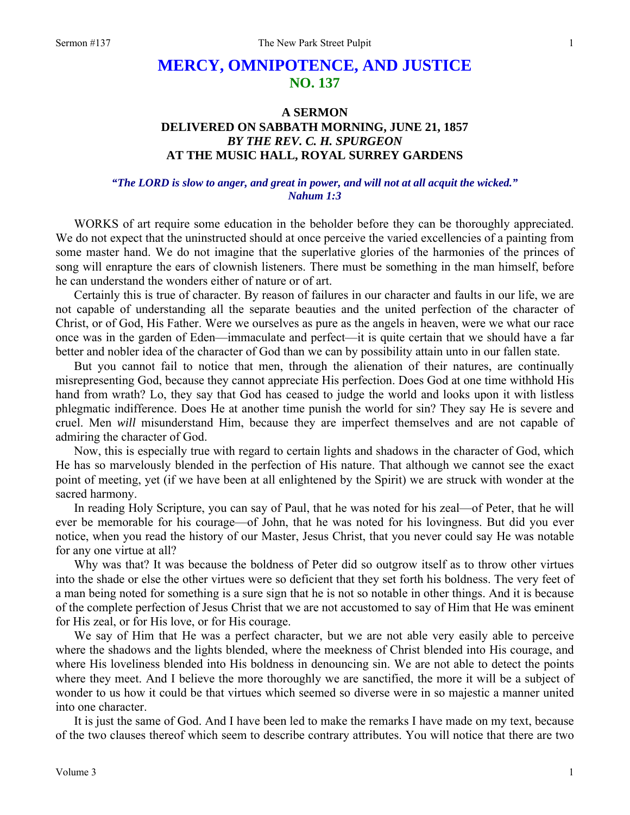## **MERCY, OMNIPOTENCE, AND JUSTICE NO. 137**

## **A SERMON DELIVERED ON SABBATH MORNING, JUNE 21, 1857**  *BY THE REV. C. H. SPURGEON*  **AT THE MUSIC HALL, ROYAL SURREY GARDENS**

## *"The LORD is slow to anger, and great in power, and will not at all acquit the wicked." Nahum 1:3*

WORKS of art require some education in the beholder before they can be thoroughly appreciated. We do not expect that the uninstructed should at once perceive the varied excellencies of a painting from some master hand. We do not imagine that the superlative glories of the harmonies of the princes of song will enrapture the ears of clownish listeners. There must be something in the man himself, before he can understand the wonders either of nature or of art.

Certainly this is true of character. By reason of failures in our character and faults in our life, we are not capable of understanding all the separate beauties and the united perfection of the character of Christ, or of God, His Father. Were we ourselves as pure as the angels in heaven, were we what our race once was in the garden of Eden—immaculate and perfect—it is quite certain that we should have a far better and nobler idea of the character of God than we can by possibility attain unto in our fallen state.

But you cannot fail to notice that men, through the alienation of their natures, are continually misrepresenting God, because they cannot appreciate His perfection. Does God at one time withhold His hand from wrath? Lo, they say that God has ceased to judge the world and looks upon it with listless phlegmatic indifference. Does He at another time punish the world for sin? They say He is severe and cruel. Men *will* misunderstand Him, because they are imperfect themselves and are not capable of admiring the character of God.

Now, this is especially true with regard to certain lights and shadows in the character of God, which He has so marvelously blended in the perfection of His nature. That although we cannot see the exact point of meeting, yet (if we have been at all enlightened by the Spirit) we are struck with wonder at the sacred harmony.

In reading Holy Scripture, you can say of Paul, that he was noted for his zeal—of Peter, that he will ever be memorable for his courage—of John, that he was noted for his lovingness. But did you ever notice, when you read the history of our Master, Jesus Christ, that you never could say He was notable for any one virtue at all?

Why was that? It was because the boldness of Peter did so outgrow itself as to throw other virtues into the shade or else the other virtues were so deficient that they set forth his boldness. The very feet of a man being noted for something is a sure sign that he is not so notable in other things. And it is because of the complete perfection of Jesus Christ that we are not accustomed to say of Him that He was eminent for His zeal, or for His love, or for His courage.

We say of Him that He was a perfect character, but we are not able very easily able to perceive where the shadows and the lights blended, where the meekness of Christ blended into His courage, and where His loveliness blended into His boldness in denouncing sin. We are not able to detect the points where they meet. And I believe the more thoroughly we are sanctified, the more it will be a subject of wonder to us how it could be that virtues which seemed so diverse were in so majestic a manner united into one character.

It is just the same of God. And I have been led to make the remarks I have made on my text, because of the two clauses thereof which seem to describe contrary attributes. You will notice that there are two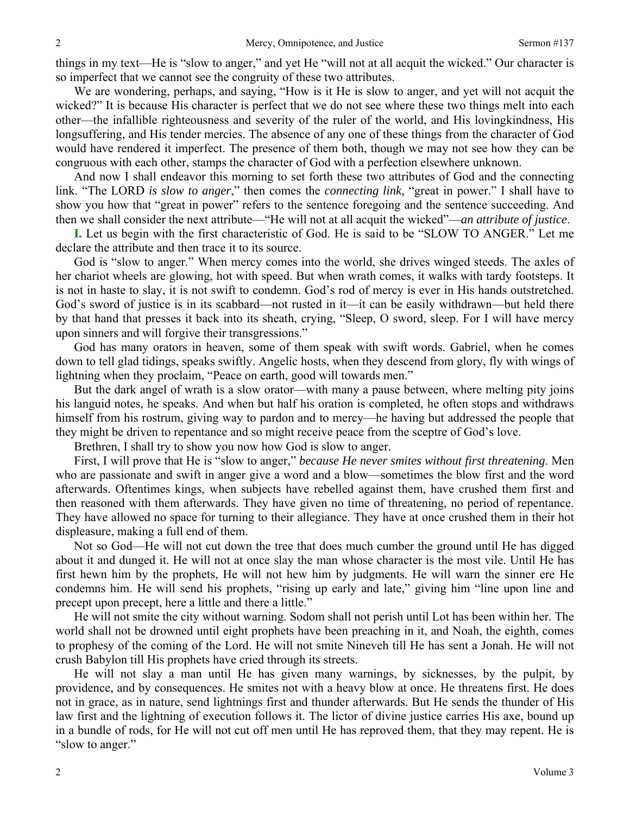things in my text—He is "slow to anger," and yet He "will not at all acquit the wicked." Our character is so imperfect that we cannot see the congruity of these two attributes.

We are wondering, perhaps, and saying, "How is it He is slow to anger, and yet will not acquit the wicked?" It is because His character is perfect that we do not see where these two things melt into each other—the infallible righteousness and severity of the ruler of the world, and His lovingkindness, His longsuffering, and His tender mercies. The absence of any one of these things from the character of God would have rendered it imperfect. The presence of them both, though we may not see how they can be congruous with each other, stamps the character of God with a perfection elsewhere unknown.

And now I shall endeavor this morning to set forth these two attributes of God and the connecting link. "The LORD *is slow to anger*," then comes the *connecting link*, "great in power." I shall have to show you how that "great in power" refers to the sentence foregoing and the sentence succeeding. And then we shall consider the next attribute—"He will not at all acquit the wicked"—*an attribute of justice*.

**I.** Let us begin with the first characteristic of God. He is said to be "SLOW TO ANGER." Let me declare the attribute and then trace it to its source.

God is "slow to anger." When mercy comes into the world, she drives winged steeds. The axles of her chariot wheels are glowing, hot with speed. But when wrath comes, it walks with tardy footsteps. It is not in haste to slay, it is not swift to condemn. God's rod of mercy is ever in His hands outstretched. God's sword of justice is in its scabbard—not rusted in it—it can be easily withdrawn—but held there by that hand that presses it back into its sheath, crying, "Sleep, O sword, sleep. For I will have mercy upon sinners and will forgive their transgressions."

God has many orators in heaven, some of them speak with swift words. Gabriel, when he comes down to tell glad tidings, speaks swiftly. Angelic hosts, when they descend from glory, fly with wings of lightning when they proclaim, "Peace on earth, good will towards men."

But the dark angel of wrath is a slow orator—with many a pause between, where melting pity joins his languid notes, he speaks. And when but half his oration is completed, he often stops and withdraws himself from his rostrum, giving way to pardon and to mercy—he having but addressed the people that they might be driven to repentance and so might receive peace from the sceptre of God's love.

Brethren, I shall try to show you now how God is slow to anger.

First, I will prove that He is "slow to anger," *because He never smites without first threatening*. Men who are passionate and swift in anger give a word and a blow—sometimes the blow first and the word afterwards. Oftentimes kings, when subjects have rebelled against them, have crushed them first and then reasoned with them afterwards. They have given no time of threatening, no period of repentance. They have allowed no space for turning to their allegiance. They have at once crushed them in their hot displeasure, making a full end of them.

Not so God—He will not cut down the tree that does much cumber the ground until He has digged about it and dunged it. He will not at once slay the man whose character is the most vile. Until He has first hewn him by the prophets, He will not hew him by judgments. He will warn the sinner ere He condemns him. He will send his prophets, "rising up early and late," giving him "line upon line and precept upon precept, here a little and there a little."

He will not smite the city without warning. Sodom shall not perish until Lot has been within her. The world shall not be drowned until eight prophets have been preaching in it, and Noah, the eighth, comes to prophesy of the coming of the Lord. He will not smite Nineveh till He has sent a Jonah. He will not crush Babylon till His prophets have cried through its streets.

He will not slay a man until He has given many warnings, by sicknesses, by the pulpit, by providence, and by consequences. He smites not with a heavy blow at once. He threatens first. He does not in grace, as in nature, send lightnings first and thunder afterwards. But He sends the thunder of His law first and the lightning of execution follows it. The lictor of divine justice carries His axe, bound up in a bundle of rods, for He will not cut off men until He has reproved them, that they may repent. He is "slow to anger."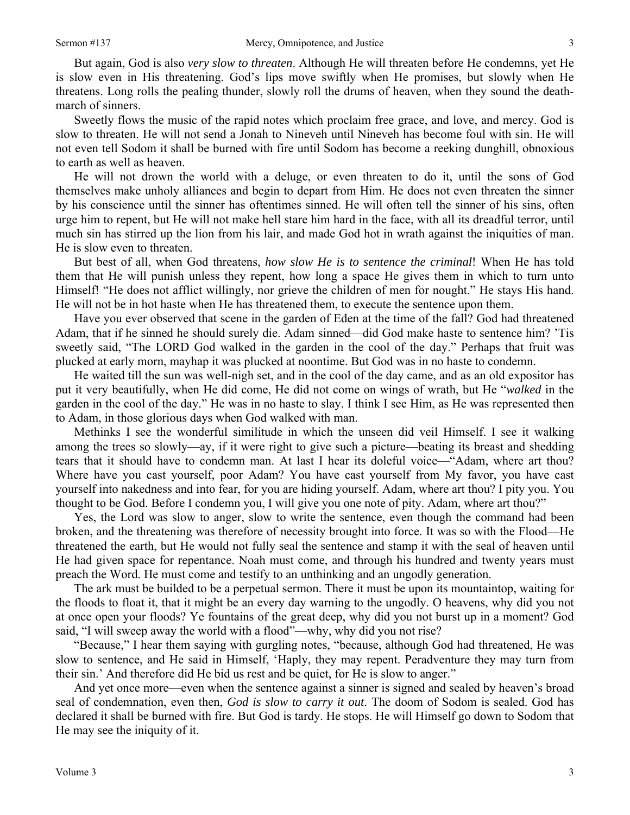But again, God is also *very slow to threaten*. Although He will threaten before He condemns, yet He is slow even in His threatening. God's lips move swiftly when He promises, but slowly when He threatens. Long rolls the pealing thunder, slowly roll the drums of heaven, when they sound the deathmarch of sinners.

Sweetly flows the music of the rapid notes which proclaim free grace, and love, and mercy. God is slow to threaten. He will not send a Jonah to Nineveh until Nineveh has become foul with sin. He will not even tell Sodom it shall be burned with fire until Sodom has become a reeking dunghill, obnoxious to earth as well as heaven.

He will not drown the world with a deluge, or even threaten to do it, until the sons of God themselves make unholy alliances and begin to depart from Him. He does not even threaten the sinner by his conscience until the sinner has oftentimes sinned. He will often tell the sinner of his sins, often urge him to repent, but He will not make hell stare him hard in the face, with all its dreadful terror, until much sin has stirred up the lion from his lair, and made God hot in wrath against the iniquities of man. He is slow even to threaten.

But best of all, when God threatens, *how slow He is to sentence the criminal*! When He has told them that He will punish unless they repent, how long a space He gives them in which to turn unto Himself! "He does not afflict willingly, nor grieve the children of men for nought." He stays His hand. He will not be in hot haste when He has threatened them, to execute the sentence upon them.

Have you ever observed that scene in the garden of Eden at the time of the fall? God had threatened Adam, that if he sinned he should surely die. Adam sinned—did God make haste to sentence him? 'Tis sweetly said, "The LORD God walked in the garden in the cool of the day." Perhaps that fruit was plucked at early morn, mayhap it was plucked at noontime. But God was in no haste to condemn.

He waited till the sun was well-nigh set, and in the cool of the day came, and as an old expositor has put it very beautifully, when He did come, He did not come on wings of wrath, but He "*walked* in the garden in the cool of the day." He was in no haste to slay. I think I see Him, as He was represented then to Adam, in those glorious days when God walked with man.

Methinks I see the wonderful similitude in which the unseen did veil Himself. I see it walking among the trees so slowly—ay, if it were right to give such a picture—beating its breast and shedding tears that it should have to condemn man. At last I hear its doleful voice—"Adam, where art thou? Where have you cast yourself, poor Adam? You have cast yourself from My favor, you have cast yourself into nakedness and into fear, for you are hiding yourself. Adam, where art thou? I pity you. You thought to be God. Before I condemn you, I will give you one note of pity. Adam, where art thou?"

Yes, the Lord was slow to anger, slow to write the sentence, even though the command had been broken, and the threatening was therefore of necessity brought into force. It was so with the Flood—He threatened the earth, but He would not fully seal the sentence and stamp it with the seal of heaven until He had given space for repentance. Noah must come, and through his hundred and twenty years must preach the Word. He must come and testify to an unthinking and an ungodly generation.

The ark must be builded to be a perpetual sermon. There it must be upon its mountaintop, waiting for the floods to float it, that it might be an every day warning to the ungodly. O heavens, why did you not at once open your floods? Ye fountains of the great deep, why did you not burst up in a moment? God said, "I will sweep away the world with a flood"—why, why did you not rise?

"Because," I hear them saying with gurgling notes, "because, although God had threatened, He was slow to sentence, and He said in Himself, 'Haply, they may repent. Peradventure they may turn from their sin.' And therefore did He bid us rest and be quiet, for He is slow to anger."

And yet once more—even when the sentence against a sinner is signed and sealed by heaven's broad seal of condemnation, even then, *God is slow to carry it out*. The doom of Sodom is sealed. God has declared it shall be burned with fire. But God is tardy. He stops. He will Himself go down to Sodom that He may see the iniquity of it.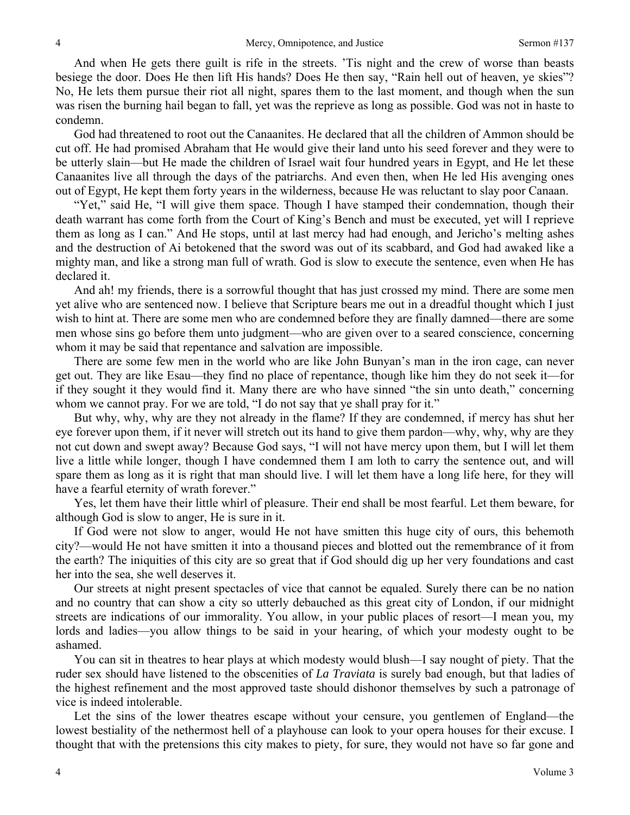And when He gets there guilt is rife in the streets. 'Tis night and the crew of worse than beasts besiege the door. Does He then lift His hands? Does He then say, "Rain hell out of heaven, ye skies"? No, He lets them pursue their riot all night, spares them to the last moment, and though when the sun was risen the burning hail began to fall, yet was the reprieve as long as possible. God was not in haste to condemn.

God had threatened to root out the Canaanites. He declared that all the children of Ammon should be cut off. He had promised Abraham that He would give their land unto his seed forever and they were to be utterly slain—but He made the children of Israel wait four hundred years in Egypt, and He let these Canaanites live all through the days of the patriarchs. And even then, when He led His avenging ones out of Egypt, He kept them forty years in the wilderness, because He was reluctant to slay poor Canaan.

"Yet," said He, "I will give them space. Though I have stamped their condemnation, though their death warrant has come forth from the Court of King's Bench and must be executed, yet will I reprieve them as long as I can." And He stops, until at last mercy had had enough, and Jericho's melting ashes and the destruction of Ai betokened that the sword was out of its scabbard, and God had awaked like a mighty man, and like a strong man full of wrath. God is slow to execute the sentence, even when He has declared it.

And ah! my friends, there is a sorrowful thought that has just crossed my mind. There are some men yet alive who are sentenced now. I believe that Scripture bears me out in a dreadful thought which I just wish to hint at. There are some men who are condemned before they are finally damned—there are some men whose sins go before them unto judgment—who are given over to a seared conscience, concerning whom it may be said that repentance and salvation are impossible.

There are some few men in the world who are like John Bunyan's man in the iron cage, can never get out. They are like Esau—they find no place of repentance, though like him they do not seek it—for if they sought it they would find it. Many there are who have sinned "the sin unto death," concerning whom we cannot pray. For we are told, "I do not say that ye shall pray for it."

But why, why, why are they not already in the flame? If they are condemned, if mercy has shut her eye forever upon them, if it never will stretch out its hand to give them pardon—why, why, why are they not cut down and swept away? Because God says, "I will not have mercy upon them, but I will let them live a little while longer, though I have condemned them I am loth to carry the sentence out, and will spare them as long as it is right that man should live. I will let them have a long life here, for they will have a fearful eternity of wrath forever."

Yes, let them have their little whirl of pleasure. Their end shall be most fearful. Let them beware, for although God is slow to anger, He is sure in it.

If God were not slow to anger, would He not have smitten this huge city of ours, this behemoth city?—would He not have smitten it into a thousand pieces and blotted out the remembrance of it from the earth? The iniquities of this city are so great that if God should dig up her very foundations and cast her into the sea, she well deserves it.

Our streets at night present spectacles of vice that cannot be equaled. Surely there can be no nation and no country that can show a city so utterly debauched as this great city of London, if our midnight streets are indications of our immorality. You allow, in your public places of resort—I mean you, my lords and ladies—you allow things to be said in your hearing, of which your modesty ought to be ashamed.

You can sit in theatres to hear plays at which modesty would blush—I say nought of piety. That the ruder sex should have listened to the obscenities of *La Traviata* is surely bad enough, but that ladies of the highest refinement and the most approved taste should dishonor themselves by such a patronage of vice is indeed intolerable.

Let the sins of the lower theatres escape without your censure, you gentlemen of England—the lowest bestiality of the nethermost hell of a playhouse can look to your opera houses for their excuse. I thought that with the pretensions this city makes to piety, for sure, they would not have so far gone and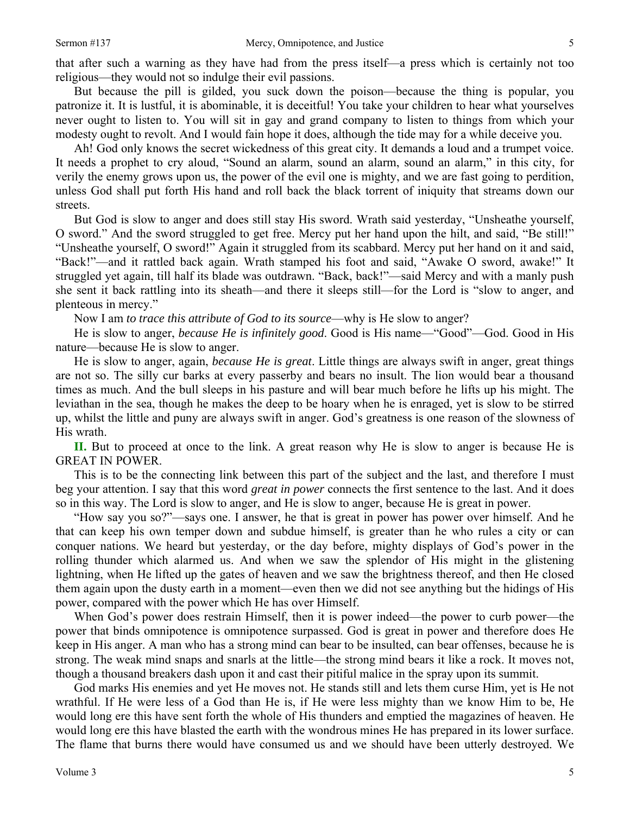that after such a warning as they have had from the press itself—a press which is certainly not too religious—they would not so indulge their evil passions.

But because the pill is gilded, you suck down the poison—because the thing is popular, you patronize it. It is lustful, it is abominable, it is deceitful! You take your children to hear what yourselves never ought to listen to. You will sit in gay and grand company to listen to things from which your modesty ought to revolt. And I would fain hope it does, although the tide may for a while deceive you.

Ah! God only knows the secret wickedness of this great city. It demands a loud and a trumpet voice. It needs a prophet to cry aloud, "Sound an alarm, sound an alarm, sound an alarm," in this city, for verily the enemy grows upon us, the power of the evil one is mighty, and we are fast going to perdition, unless God shall put forth His hand and roll back the black torrent of iniquity that streams down our streets.

But God is slow to anger and does still stay His sword. Wrath said yesterday, "Unsheathe yourself, O sword." And the sword struggled to get free. Mercy put her hand upon the hilt, and said, "Be still!" "Unsheathe yourself, O sword!" Again it struggled from its scabbard. Mercy put her hand on it and said, "Back!"—and it rattled back again. Wrath stamped his foot and said, "Awake O sword, awake!" It struggled yet again, till half its blade was outdrawn. "Back, back!"—said Mercy and with a manly push she sent it back rattling into its sheath—and there it sleeps still—for the Lord is "slow to anger, and plenteous in mercy."

Now I am *to trace this attribute of God to its source*—why is He slow to anger?

He is slow to anger, *because He is infinitely good*. Good is His name—"Good"—God. Good in His nature—because He is slow to anger.

He is slow to anger, again, *because He is great*. Little things are always swift in anger, great things are not so. The silly cur barks at every passerby and bears no insult. The lion would bear a thousand times as much. And the bull sleeps in his pasture and will bear much before he lifts up his might. The leviathan in the sea, though he makes the deep to be hoary when he is enraged, yet is slow to be stirred up, whilst the little and puny are always swift in anger. God's greatness is one reason of the slowness of His wrath.

**II.** But to proceed at once to the link. A great reason why He is slow to anger is because He is GREAT IN POWER.

This is to be the connecting link between this part of the subject and the last, and therefore I must beg your attention. I say that this word *great in power* connects the first sentence to the last. And it does so in this way. The Lord is slow to anger, and He is slow to anger, because He is great in power.

"How say you so?"—says one. I answer, he that is great in power has power over himself. And he that can keep his own temper down and subdue himself, is greater than he who rules a city or can conquer nations. We heard but yesterday, or the day before, mighty displays of God's power in the rolling thunder which alarmed us. And when we saw the splendor of His might in the glistening lightning, when He lifted up the gates of heaven and we saw the brightness thereof, and then He closed them again upon the dusty earth in a moment—even then we did not see anything but the hidings of His power, compared with the power which He has over Himself.

When God's power does restrain Himself, then it is power indeed—the power to curb power—the power that binds omnipotence is omnipotence surpassed. God is great in power and therefore does He keep in His anger. A man who has a strong mind can bear to be insulted, can bear offenses, because he is strong. The weak mind snaps and snarls at the little—the strong mind bears it like a rock. It moves not, though a thousand breakers dash upon it and cast their pitiful malice in the spray upon its summit.

God marks His enemies and yet He moves not. He stands still and lets them curse Him, yet is He not wrathful. If He were less of a God than He is, if He were less mighty than we know Him to be, He would long ere this have sent forth the whole of His thunders and emptied the magazines of heaven. He would long ere this have blasted the earth with the wondrous mines He has prepared in its lower surface. The flame that burns there would have consumed us and we should have been utterly destroyed. We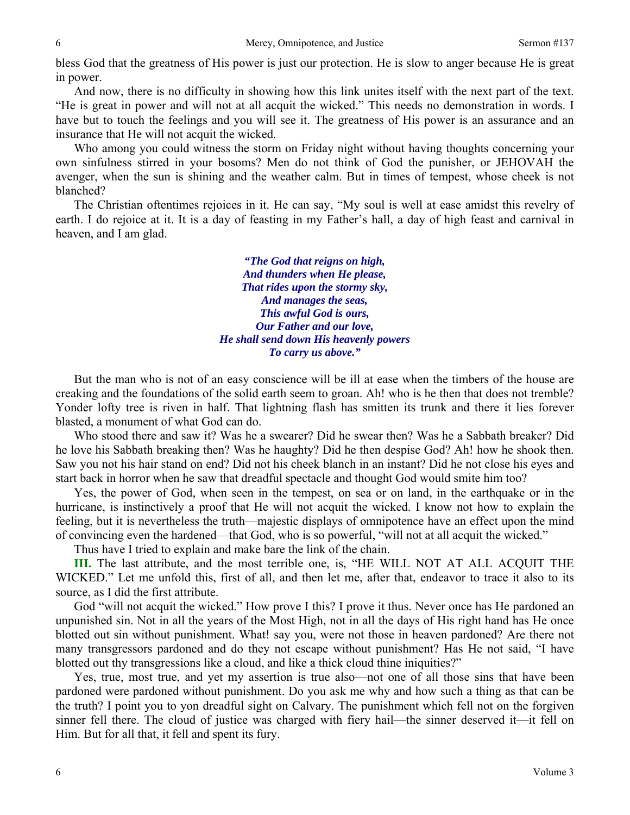bless God that the greatness of His power is just our protection. He is slow to anger because He is great in power.

And now, there is no difficulty in showing how this link unites itself with the next part of the text. "He is great in power and will not at all acquit the wicked." This needs no demonstration in words. I have but to touch the feelings and you will see it. The greatness of His power is an assurance and an insurance that He will not acquit the wicked.

Who among you could witness the storm on Friday night without having thoughts concerning your own sinfulness stirred in your bosoms? Men do not think of God the punisher, or JEHOVAH the avenger, when the sun is shining and the weather calm. But in times of tempest, whose cheek is not blanched?

The Christian oftentimes rejoices in it. He can say, "My soul is well at ease amidst this revelry of earth. I do rejoice at it. It is a day of feasting in my Father's hall, a day of high feast and carnival in heaven, and I am glad.

> *"The God that reigns on high, And thunders when He please, That rides upon the stormy sky, And manages the seas, This awful God is ours, Our Father and our love, He shall send down His heavenly powers To carry us above."*

But the man who is not of an easy conscience will be ill at ease when the timbers of the house are creaking and the foundations of the solid earth seem to groan. Ah! who is he then that does not tremble? Yonder lofty tree is riven in half. That lightning flash has smitten its trunk and there it lies forever blasted, a monument of what God can do.

Who stood there and saw it? Was he a swearer? Did he swear then? Was he a Sabbath breaker? Did he love his Sabbath breaking then? Was he haughty? Did he then despise God? Ah! how he shook then. Saw you not his hair stand on end? Did not his cheek blanch in an instant? Did he not close his eyes and start back in horror when he saw that dreadful spectacle and thought God would smite him too?

Yes, the power of God, when seen in the tempest, on sea or on land, in the earthquake or in the hurricane, is instinctively a proof that He will not acquit the wicked. I know not how to explain the feeling, but it is nevertheless the truth—majestic displays of omnipotence have an effect upon the mind of convincing even the hardened—that God, who is so powerful, "will not at all acquit the wicked."

Thus have I tried to explain and make bare the link of the chain.

**III.** The last attribute, and the most terrible one, is, "HE WILL NOT AT ALL ACQUIT THE WICKED." Let me unfold this, first of all, and then let me, after that, endeavor to trace it also to its source, as I did the first attribute.

God "will not acquit the wicked." How prove I this? I prove it thus. Never once has He pardoned an unpunished sin. Not in all the years of the Most High, not in all the days of His right hand has He once blotted out sin without punishment. What! say you, were not those in heaven pardoned? Are there not many transgressors pardoned and do they not escape without punishment? Has He not said, "I have blotted out thy transgressions like a cloud, and like a thick cloud thine iniquities?"

Yes, true, most true, and yet my assertion is true also—not one of all those sins that have been pardoned were pardoned without punishment. Do you ask me why and how such a thing as that can be the truth? I point you to yon dreadful sight on Calvary. The punishment which fell not on the forgiven sinner fell there. The cloud of justice was charged with fiery hail—the sinner deserved it—it fell on Him. But for all that, it fell and spent its fury.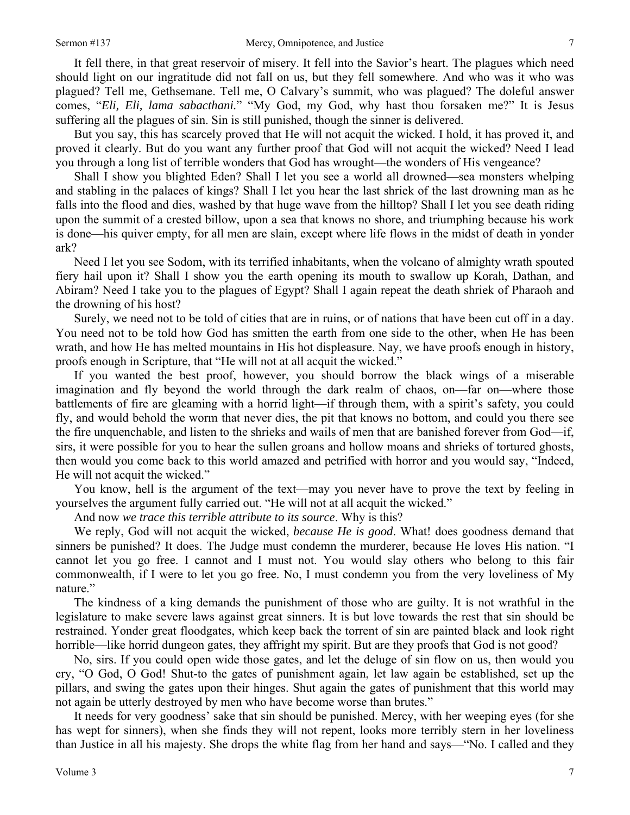It fell there, in that great reservoir of misery. It fell into the Savior's heart. The plagues which need should light on our ingratitude did not fall on us, but they fell somewhere. And who was it who was plagued? Tell me, Gethsemane. Tell me, O Calvary's summit, who was plagued? The doleful answer comes, "*Eli, Eli, lama sabacthani.*" "My God, my God, why hast thou forsaken me?" It is Jesus suffering all the plagues of sin. Sin is still punished, though the sinner is delivered.

But you say, this has scarcely proved that He will not acquit the wicked. I hold, it has proved it, and proved it clearly. But do you want any further proof that God will not acquit the wicked? Need I lead you through a long list of terrible wonders that God has wrought—the wonders of His vengeance?

Shall I show you blighted Eden? Shall I let you see a world all drowned—sea monsters whelping and stabling in the palaces of kings? Shall I let you hear the last shriek of the last drowning man as he falls into the flood and dies, washed by that huge wave from the hilltop? Shall I let you see death riding upon the summit of a crested billow, upon a sea that knows no shore, and triumphing because his work is done—his quiver empty, for all men are slain, except where life flows in the midst of death in yonder ark?

Need I let you see Sodom, with its terrified inhabitants, when the volcano of almighty wrath spouted fiery hail upon it? Shall I show you the earth opening its mouth to swallow up Korah, Dathan, and Abiram? Need I take you to the plagues of Egypt? Shall I again repeat the death shriek of Pharaoh and the drowning of his host?

Surely, we need not to be told of cities that are in ruins, or of nations that have been cut off in a day. You need not to be told how God has smitten the earth from one side to the other, when He has been wrath, and how He has melted mountains in His hot displeasure. Nay, we have proofs enough in history, proofs enough in Scripture, that "He will not at all acquit the wicked."

If you wanted the best proof, however, you should borrow the black wings of a miserable imagination and fly beyond the world through the dark realm of chaos, on—far on—where those battlements of fire are gleaming with a horrid light—if through them, with a spirit's safety, you could fly, and would behold the worm that never dies, the pit that knows no bottom, and could you there see the fire unquenchable, and listen to the shrieks and wails of men that are banished forever from God—if, sirs, it were possible for you to hear the sullen groans and hollow moans and shrieks of tortured ghosts, then would you come back to this world amazed and petrified with horror and you would say, "Indeed, He will not acquit the wicked."

You know, hell is the argument of the text—may you never have to prove the text by feeling in yourselves the argument fully carried out. "He will not at all acquit the wicked."

And now *we trace this terrible attribute to its source*. Why is this?

We reply, God will not acquit the wicked, *because He is good*. What! does goodness demand that sinners be punished? It does. The Judge must condemn the murderer, because He loves His nation. "I cannot let you go free. I cannot and I must not. You would slay others who belong to this fair commonwealth, if I were to let you go free. No, I must condemn you from the very loveliness of My nature."

The kindness of a king demands the punishment of those who are guilty. It is not wrathful in the legislature to make severe laws against great sinners. It is but love towards the rest that sin should be restrained. Yonder great floodgates, which keep back the torrent of sin are painted black and look right horrible—like horrid dungeon gates, they affright my spirit. But are they proofs that God is not good?

No, sirs. If you could open wide those gates, and let the deluge of sin flow on us, then would you cry, "O God, O God! Shut-to the gates of punishment again, let law again be established, set up the pillars, and swing the gates upon their hinges. Shut again the gates of punishment that this world may not again be utterly destroyed by men who have become worse than brutes."

It needs for very goodness' sake that sin should be punished. Mercy, with her weeping eyes (for she has wept for sinners), when she finds they will not repent, looks more terribly stern in her loveliness than Justice in all his majesty. She drops the white flag from her hand and says—"No. I called and they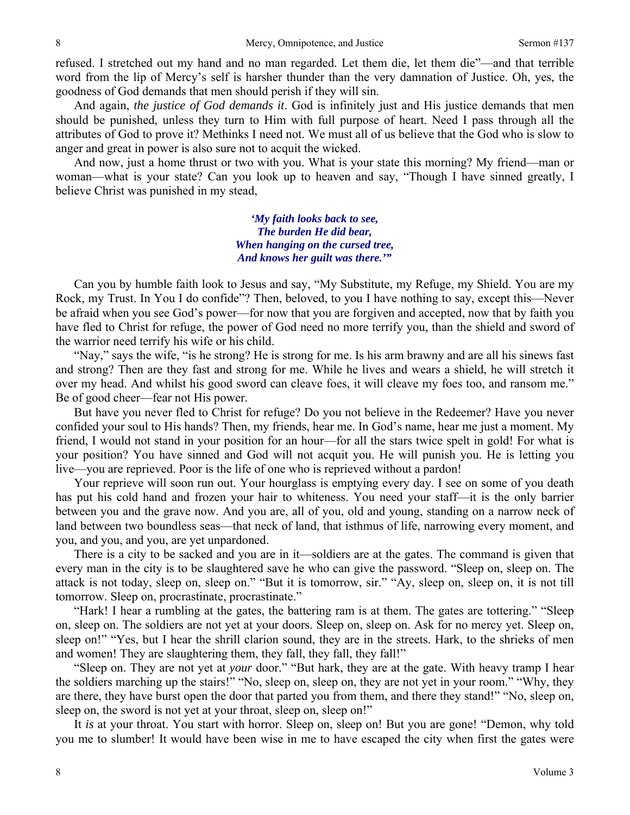refused. I stretched out my hand and no man regarded. Let them die, let them die"—and that terrible word from the lip of Mercy's self is harsher thunder than the very damnation of Justice. Oh, yes, the goodness of God demands that men should perish if they will sin.

And again, *the justice of God demands it*. God is infinitely just and His justice demands that men should be punished, unless they turn to Him with full purpose of heart. Need I pass through all the attributes of God to prove it? Methinks I need not. We must all of us believe that the God who is slow to anger and great in power is also sure not to acquit the wicked.

And now, just a home thrust or two with you. What is your state this morning? My friend—man or woman—what is your state? Can you look up to heaven and say, "Though I have sinned greatly, I believe Christ was punished in my stead,

> *'My faith looks back to see, The burden He did bear, When hanging on the cursed tree, And knows her guilt was there.'"*

Can you by humble faith look to Jesus and say, "My Substitute, my Refuge, my Shield. You are my Rock, my Trust. In You I do confide"? Then, beloved, to you I have nothing to say, except this—Never be afraid when you see God's power—for now that you are forgiven and accepted, now that by faith you have fled to Christ for refuge, the power of God need no more terrify you, than the shield and sword of the warrior need terrify his wife or his child.

"Nay," says the wife, "is he strong? He is strong for me. Is his arm brawny and are all his sinews fast and strong? Then are they fast and strong for me. While he lives and wears a shield, he will stretch it over my head. And whilst his good sword can cleave foes, it will cleave my foes too, and ransom me." Be of good cheer—fear not His power.

But have you never fled to Christ for refuge? Do you not believe in the Redeemer? Have you never confided your soul to His hands? Then, my friends, hear me. In God's name, hear me just a moment. My friend, I would not stand in your position for an hour—for all the stars twice spelt in gold! For what is your position? You have sinned and God will not acquit you. He will punish you. He is letting you live—you are reprieved. Poor is the life of one who is reprieved without a pardon!

Your reprieve will soon run out. Your hourglass is emptying every day. I see on some of you death has put his cold hand and frozen your hair to whiteness. You need your staff—it is the only barrier between you and the grave now. And you are, all of you, old and young, standing on a narrow neck of land between two boundless seas—that neck of land, that isthmus of life, narrowing every moment, and you, and you, and you, are yet unpardoned.

There is a city to be sacked and you are in it—soldiers are at the gates. The command is given that every man in the city is to be slaughtered save he who can give the password. "Sleep on, sleep on. The attack is not today, sleep on, sleep on." "But it is tomorrow, sir." "Ay, sleep on, sleep on, it is not till tomorrow. Sleep on, procrastinate, procrastinate."

"Hark! I hear a rumbling at the gates, the battering ram is at them. The gates are tottering." "Sleep on, sleep on. The soldiers are not yet at your doors. Sleep on, sleep on. Ask for no mercy yet. Sleep on, sleep on!" "Yes, but I hear the shrill clarion sound, they are in the streets. Hark, to the shrieks of men and women! They are slaughtering them, they fall, they fall, they fall!"

"Sleep on. They are not yet at *your* door." "But hark, they are at the gate. With heavy tramp I hear the soldiers marching up the stairs!" "No, sleep on, sleep on, they are not yet in your room." "Why, they are there, they have burst open the door that parted you from them, and there they stand!" "No, sleep on, sleep on, the sword is not yet at your throat, sleep on, sleep on!"

It *is* at your throat. You start with horror. Sleep on, sleep on! But you are gone! "Demon, why told you me to slumber! It would have been wise in me to have escaped the city when first the gates were